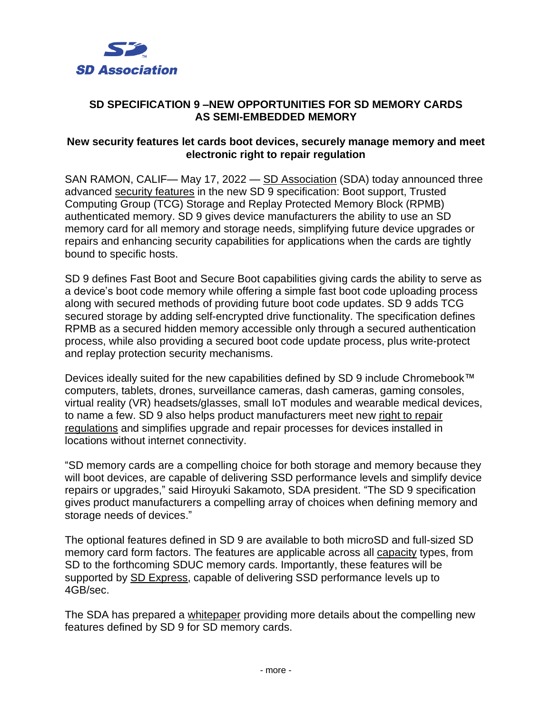

## **SD SPECIFICATION 9 –NEW OPPORTUNITIES FOR SD MEMORY CARDS AS SEMI-EMBEDDED MEMORY**

## **New security features let cards boot devices, securely manage memory and meet electronic right to repair regulation**

SAN RAMON, CALIF— May 17, 2022 — SD [Association](http://www.sdcard.org/) (SDA) today announced three advanced security [features](https://www.sdcard.org/developers/boot-and-new-security-features/) in the new SD 9 specification: Boot support, Trusted Computing Group (TCG) Storage and Replay Protected Memory Block (RPMB) authenticated memory. SD 9 gives device manufacturers the ability to use an SD memory card for all memory and storage needs, simplifying future device upgrades or repairs and enhancing security capabilities for applications when the cards are tightly bound to specific hosts.

SD 9 defines Fast Boot and Secure Boot capabilities giving cards the ability to serve as a device's boot code memory while offering a simple fast boot code uploading process along with secured methods of providing future boot code updates. SD 9 adds TCG secured storage by adding self-encrypted drive functionality. The specification defines RPMB as a secured hidden memory accessible only through a secured authentication process, while also providing a secured boot code update process, plus write-protect and replay protection security mechanisms.

Devices ideally suited for the new capabilities defined by SD 9 include Chromebook™ computers, tablets, drones, surveillance cameras, dash cameras, gaming consoles, virtual reality (VR) headsets/glasses, small IoT modules and wearable medical devices, to name a few. SD 9 also helps product manufacturers meet new right to [repair](https://en.wikipedia.org/wiki/Electronics_right_to_repair) [regulations](https://en.wikipedia.org/wiki/Electronics_right_to_repair) and simplifies upgrade and repair processes for devices installed in locations without internet connectivity.

"SD memory cards are a compelling choice for both storage and memory because they will boot devices, are capable of delivering SSD performance levels and simplify device repairs or upgrades," said Hiroyuki Sakamoto, SDA president. "The SD 9 specification gives product manufacturers a compelling array of choices when defining memory and storage needs of devices."

The optional features defined in SD 9 are available to both microSD and full-sized SD memory card form factors. The features are applicable across all [capacity](https://www.sdcard.org/developers/sd-standard-overview/capacity-sd-sdhc-sdxc-sduc/) types, from SD to the forthcoming SDUC memory cards. Importantly, these features will be supported by SD [Express,](https://www.sdcard.org/developers/sd-standard-overview/bus-speed-default-speed-high-speed-uhs-sd-express/) capable of delivering SSD performance levels up to 4GB/sec.

The SDA has prepared a [whitepaper](https://www.sdcard.org/cms/wp-content/uploads/2022/05/Boot-TCG-and-RPMB-The-New-Security-Featu-res-Introduced-in-SD-9.0.pdf) providing more details about the compelling new features defined by SD 9 for SD memory cards.